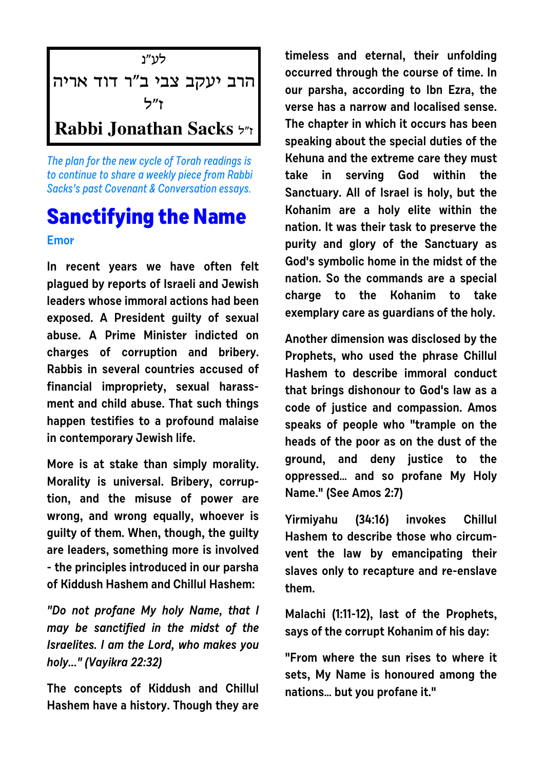

The plan for the new cycle of Torah readings is to continue to share a weekly piece from Rabbi Sacks's past Covenant & Conversation essays.

## **Sanctifying the Name**

**Emor**

**In recent years we have often felt plagued by reports of Israeli and Jewish leaders whose immoral actions had been exposed. A President guilty of sexual abuse. A Prime Minister indicted on charges of corruption and bribery. Rabbis in several countries accused of financial impropriety, sexual harassment and child abuse. That such things happen testifies to a profound malaise in contemporary Jewish life.**

**More is at stake than simply morality. Morality is universal. Bribery, corruption, and the misuse of power are wrong, and wrong equally, whoever is guilty of them. When, though, the guilty are leaders, something more is involved - the principles introduced in our parsha of Kiddush Hashem and Chillul Hashem:**

**"Do not profane My holy Name, that I may be sanctified in the midst of the Israelites. I am the Lord, who makes you holy..." (Vayikra 22:32)**

**The concepts of Kiddush and Chillul Hashem have a history. Though they are** **timeless and eternal, their unfolding occurred through the course of time. In our parsha, according to Ibn Ezra, the verse has a narrow and localised sense. The chapter in which it occurs has been speaking about the special duties of the Kehuna and the extreme care they must take in serving God within the Sanctuary. All of Israel is holy, but the Kohanim are a holy elite within the nation. It was their task to preserve the purity and glory of the Sanctuary as God's symbolic home in the midst of the nation. So the commands are a special charge to the Kohanim to take exemplary care as guardians of the holy.**

**Another dimension was disclosed by the Prophets, who used the phrase Chillul Hashem to describe immoral conduct that brings dishonour to God's law as a code of justice and compassion. Amos speaks of people who "trample on the heads of the poor as on the dust of the ground, and deny justice to the oppressed… and so profane My Holy Name." (See Amos 2:7)**

**Yirmiyahu (34:16) invokes Chillul Hashem to describe those who circumvent the law by emancipating their slaves only to recapture and re-enslave them.** 

**Malachi (1:11-12), last of the Prophets, says of the corrupt Kohanim of his day:**

**"From where the sun rises to where it sets, My Name is honoured among the nations… but you profane it."**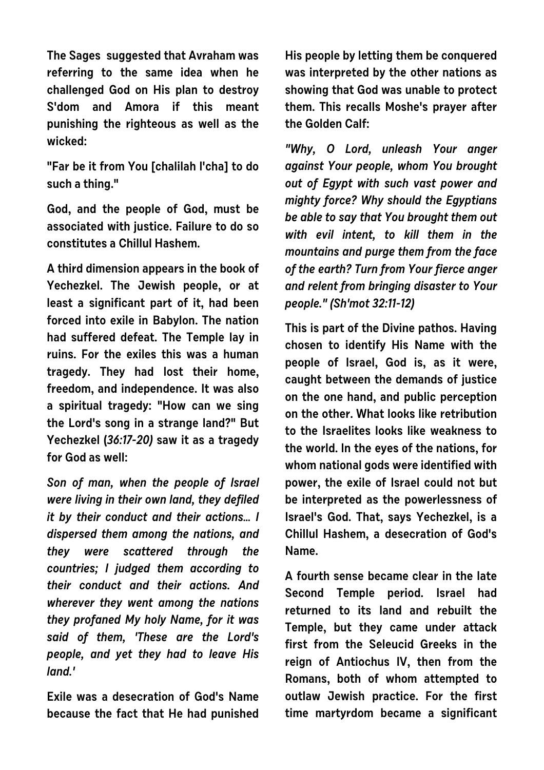**The Sages suggested that Avraham was referring to the same idea when he challenged God on His plan to destroy S'dom and Amora if this meant punishing the righteous as well as the wicked:** 

**"Far be it from You [chalilah l'cha] to do such a thing."** 

**God, and the people of God, must be associated with justice. Failure to do so constitutes a Chillul Hashem.**

**A third dimension appears in the book of Yechezkel. The Jewish people, or at least a significant part of it, had been forced into exile in Babylon. The nation had suffered defeat. The Temple lay in ruins. For the exiles this was a human tragedy. They had lost their home, freedom, and independence. It was also a spiritual tragedy: "How can we sing the Lord's song in a strange land?" But Yechezkel (36:17-20) saw it as a tragedy for God as well:**

**Son of man, when the people of Israel were living in their own land, they defiled it by their conduct and their actions… I dispersed them among the nations, and they were scattered through the countries; I judged them according to their conduct and their actions. And wherever they went among the nations they profaned My holy Name, for it was said of them, 'These are the Lord's people, and yet they had to leave His land.'**

**Exile was a desecration of God's Name because the fact that He had punished** **His people by letting them be conquered was interpreted by the other nations as showing that God was unable to protect them. This recalls Moshe's prayer after the Golden Calf:**

**"Why, O Lord, unleash Your anger against Your people, whom You brought out of Egypt with such vast power and mighty force? Why should the Egyptians be able to say that You brought them out with evil intent, to kill them in the mountains and purge them from the face of the earth? Turn from Your fierce anger and relent from bringing disaster to Your people." (Sh'mot 32:11-12)**

**This is part of the Divine pathos. Having chosen to identify His Name with the people of Israel, God is, as it were, caught between the demands of justice on the one hand, and public perception on the other. What looks like retribution to the Israelites looks like weakness to the world. In the eyes of the nations, for whom national gods were identified with power, the exile of Israel could not but be interpreted as the powerlessness of Israel's God. That, says Yechezkel, is a Chillul Hashem, a desecration of God's Name.**

**A fourth sense became clear in the late Second Temple period. Israel had returned to its land and rebuilt the Temple, but they came under attack first from the Seleucid Greeks in the reign of Antiochus IV, then from the Romans, both of whom attempted to outlaw Jewish practice. For the first time martyrdom became a significant**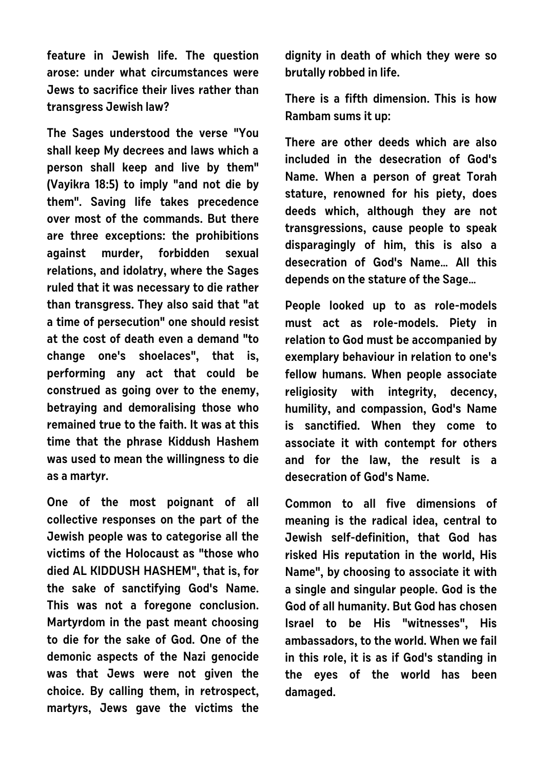**feature in Jewish life. The question arose: under what circumstances were Jews to sacrifice their lives rather than transgress Jewish law?**

**The Sages understood the verse "You shall keep My decrees and laws which a person shall keep and live by them" (Vayikra 18:5) to imply "and not die by them". Saving life takes precedence over most of the commands. But there are three exceptions: the prohibitions against murder, forbidden sexual relations, and idolatry, where the Sages ruled that it was necessary to die rather than transgress. They also said that "at a time of persecution" one should resist at the cost of death even a demand "to change one's shoelaces", that is, performing any act that could be construed as going over to the enemy, betraying and demoralising those who remained true to the faith. It was at this time that the phrase Kiddush Hashem was used to mean the willingness to die as a martyr.**

**One of the most poignant of all collective responses on the part of the Jewish people was to categorise all the victims of the Holocaust as "those who died AL KIDDUSH HASHEM", that is, for the sake of sanctifying God's Name. This was not a foregone conclusion. Martyrdom in the past meant choosing to die for the sake of God. One of the demonic aspects of the Nazi genocide was that Jews were not given the choice. By calling them, in retrospect, martyrs, Jews gave the victims the** **dignity in death of which they were so brutally robbed in life.** 

**There is a fifth dimension. This is how Rambam sums it up:**

**There are other deeds which are also included in the desecration of God's Name. When a person of great Torah stature, renowned for his piety, does deeds which, although they are not transgressions, cause people to speak disparagingly of him, this is also a desecration of God's Name… All this depends on the stature of the Sage…** 

**People looked up to as role-models must act as role-models. Piety in relation to God must be accompanied by exemplary behaviour in relation to one's fellow humans. When people associate religiosity with integrity, decency, humility, and compassion, God's Name is sanctified. When they come to associate it with contempt for others and for the law, the result is a desecration of God's Name.**

**Common to all five dimensions of meaning is the radical idea, central to Jewish self-definition, that God has risked His reputation in the world, His Name", by choosing to associate it with a single and singular people. God is the God of all humanity. But God has chosen Israel to be His "witnesses", His ambassadors, to the world. When we fail in this role, it is as if God's standing in the eyes of the world has been damaged.**